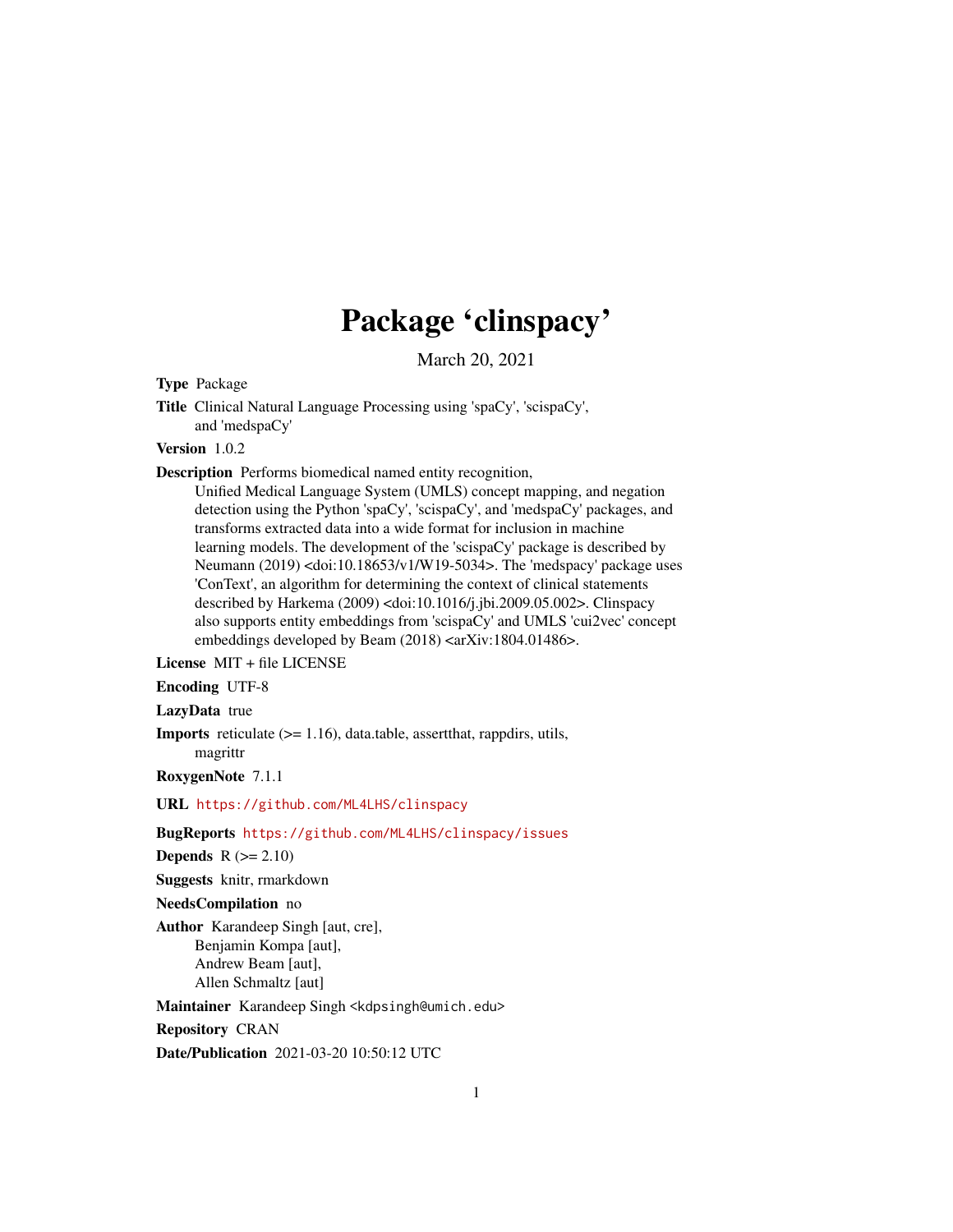# Package 'clinspacy'

March 20, 2021

Type Package

Title Clinical Natural Language Processing using 'spaCy', 'scispaCy', and 'medspaCy'

# Version 1.0.2

Description Performs biomedical named entity recognition,

Unified Medical Language System (UMLS) concept mapping, and negation detection using the Python 'spaCy', 'scispaCy', and 'medspaCy' packages, and transforms extracted data into a wide format for inclusion in machine learning models. The development of the 'scispaCy' package is described by Neumann (2019) <doi:10.18653/v1/W19-5034>. The 'medspacy' package uses 'ConText', an algorithm for determining the context of clinical statements described by Harkema (2009) <doi:10.1016/j.jbi.2009.05.002>. Clinspacy also supports entity embeddings from 'scispaCy' and UMLS 'cui2vec' concept embeddings developed by Beam (2018) <arXiv:1804.01486>.

License MIT + file LICENSE

# Encoding UTF-8

# LazyData true

Imports reticulate (>= 1.16), data.table, assertthat, rappdirs, utils, magrittr

RoxygenNote 7.1.1

URL <https://github.com/ML4LHS/clinspacy>

### BugReports <https://github.com/ML4LHS/clinspacy/issues>

Depends  $R (= 2.10)$ 

Suggests knitr, rmarkdown

# NeedsCompilation no

Author Karandeep Singh [aut, cre], Benjamin Kompa [aut], Andrew Beam [aut], Allen Schmaltz [aut]

Maintainer Karandeep Singh <kdpsingh@umich.edu>

Repository CRAN

Date/Publication 2021-03-20 10:50:12 UTC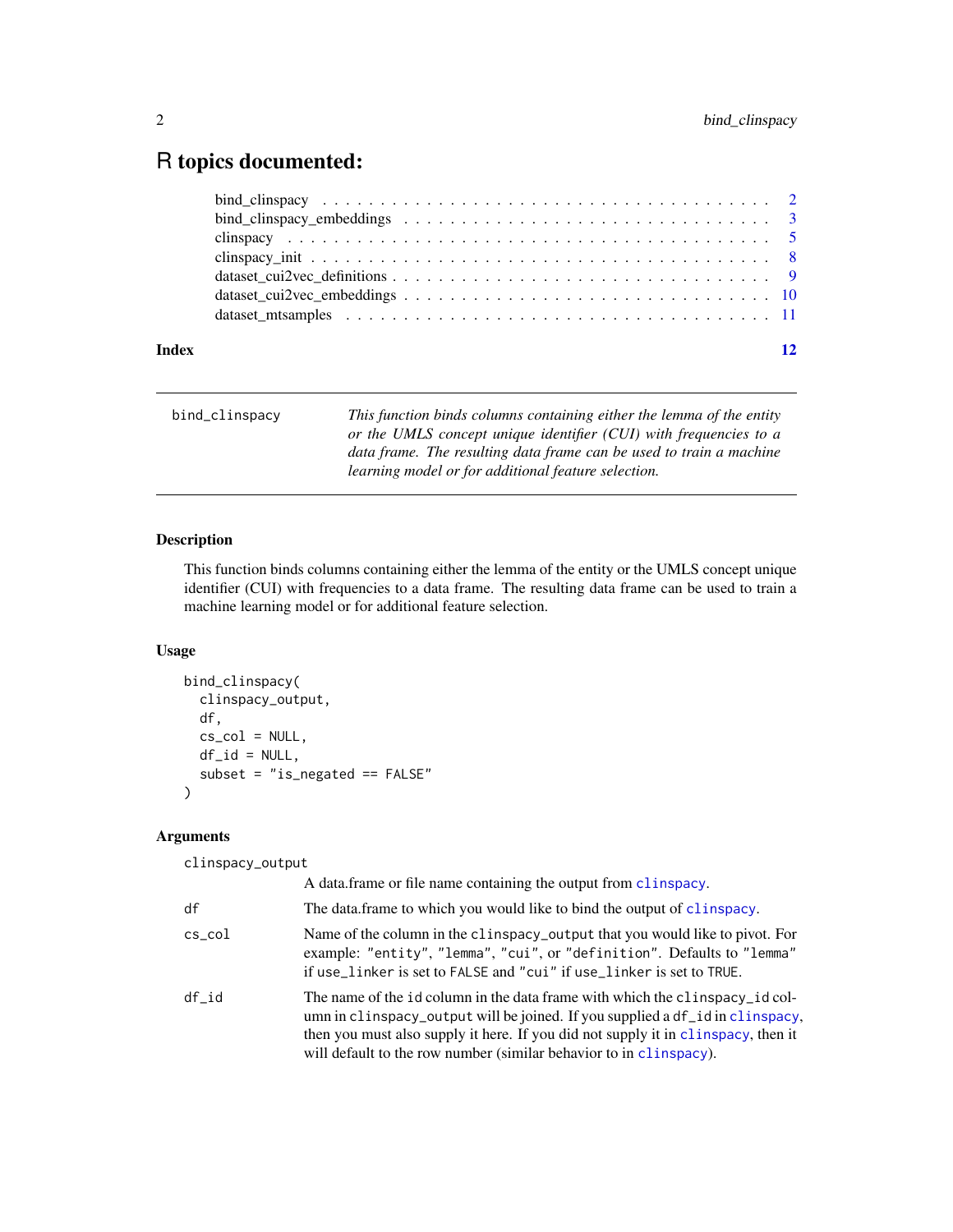# <span id="page-1-0"></span>R topics documented:

| Index |                                                                                                                 |  |
|-------|-----------------------------------------------------------------------------------------------------------------|--|
|       |                                                                                                                 |  |
|       |                                                                                                                 |  |
|       |                                                                                                                 |  |
|       |                                                                                                                 |  |
|       |                                                                                                                 |  |
|       | bind clinspacy embeddings $\ldots \ldots \ldots \ldots \ldots \ldots \ldots \ldots \ldots \ldots \ldots \ldots$ |  |
|       |                                                                                                                 |  |

| bind_clinspacy | This function binds columns containing either the lemma of the entity<br>or the UMLS concept unique identifier (CUI) with frequencies to a |
|----------------|--------------------------------------------------------------------------------------------------------------------------------------------|
|                | data frame. The resulting data frame can be used to train a machine<br>learning model or for additional feature selection.                 |

# Description

This function binds columns containing either the lemma of the entity or the UMLS concept unique identifier (CUI) with frequencies to a data frame. The resulting data frame can be used to train a machine learning model or for additional feature selection.

# Usage

```
bind_clinspacy(
  clinspacy_output,
  df,
 cs\_col = NULL,df_id = NULL,subset = "is_negated == FALSE"
)
```
# Arguments

clinspacy\_output

|                 | A data frame or file name containing the output from clinspacy.                                                                                                                                                                                                                                                          |
|-----------------|--------------------------------------------------------------------------------------------------------------------------------------------------------------------------------------------------------------------------------------------------------------------------------------------------------------------------|
| df              | The data frame to which you would like to bind the output of clinspacy.                                                                                                                                                                                                                                                  |
| $\verb cs_col $ | Name of the column in the clinspacy_output that you would like to pivot. For<br>example: "entity", "lemma", "cui", or "definition". Defaults to "lemma"<br>if use_linker is set to FALSE and "cui" if use_linker is set to TRUE.                                                                                         |
| df id           | The name of the id column in the data frame with which the clinspacy id col-<br>umn in clinspacy_output will be joined. If you supplied a df_id in clinspacy,<br>then you must also supply it here. If you did not supply it in clinspacy, then it<br>will default to the row number (similar behavior to in clinspacy). |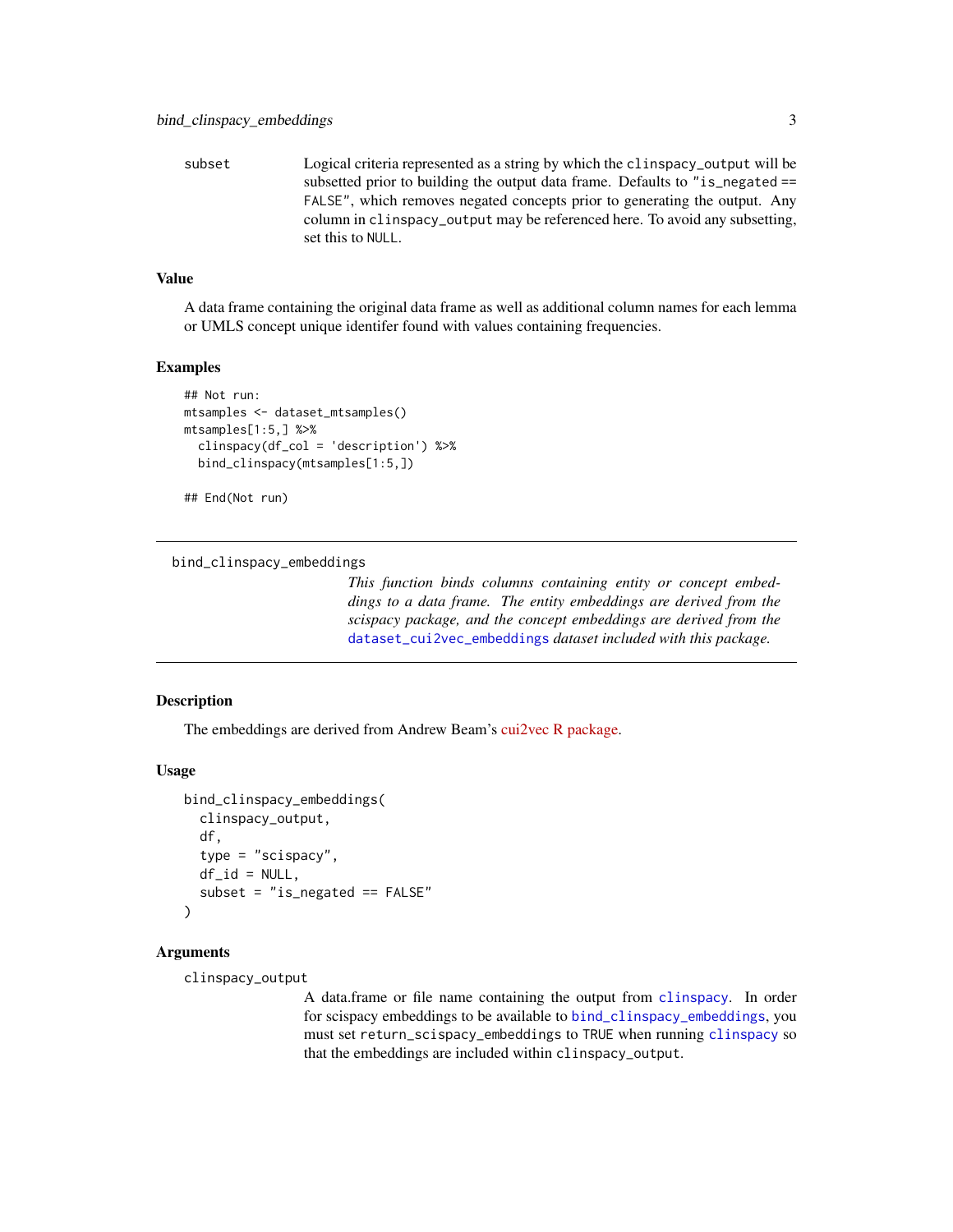<span id="page-2-0"></span>subset Logical criteria represented as a string by which the clinspacy\_output will be subsetted prior to building the output data frame. Defaults to "is\_negated == FALSE", which removes negated concepts prior to generating the output. Any column in clinspacy\_output may be referenced here. To avoid any subsetting, set this to NULL.

### Value

A data frame containing the original data frame as well as additional column names for each lemma or UMLS concept unique identifer found with values containing frequencies.

#### Examples

```
## Not run:
mtsamples <- dataset_mtsamples()
mtsamples[1:5,] %>%
  clinspacy(df_col = 'description') %>%
  bind_clinspacy(mtsamples[1:5,])
```
## End(Not run)

<span id="page-2-1"></span>bind\_clinspacy\_embeddings

*This function binds columns containing entity or concept embeddings to a data frame. The entity embeddings are derived from the scispacy package, and the concept embeddings are derived from the* [dataset\\_cui2vec\\_embeddings](#page-9-1) *dataset included with this package.*

# Description

The embeddings are derived from Andrew Beam's [cui2vec R package.](https://github.com/beamandrew/cui2vec)

#### Usage

```
bind_clinspacy_embeddings(
  clinspacy_output,
  df,
  type = "scispacy",
  df_id = NULL,subset = "is_negated == FALSE"
\lambda
```
#### Arguments

clinspacy\_output

A data.frame or file name containing the output from [clinspacy](#page-4-1). In order for scispacy embeddings to be available to [bind\\_clinspacy\\_embeddings](#page-2-1), you must set return\_scispacy\_embeddings to TRUE when running [clinspacy](#page-4-1) so that the embeddings are included within clinspacy\_output.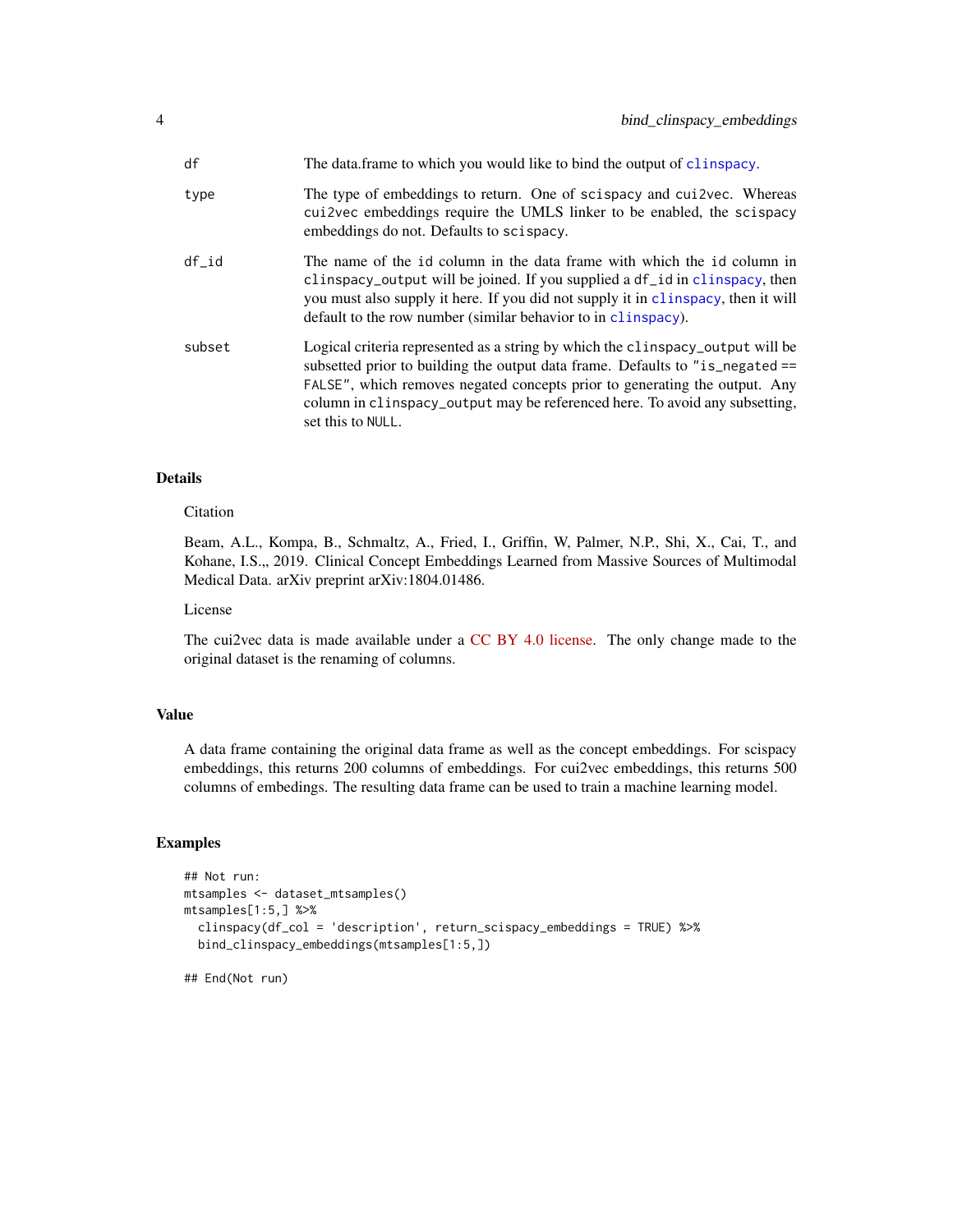<span id="page-3-0"></span>

| df     | The data frame to which you would like to bind the output of clinspacy.                                                                                                                                                                                                                                                                           |
|--------|---------------------------------------------------------------------------------------------------------------------------------------------------------------------------------------------------------------------------------------------------------------------------------------------------------------------------------------------------|
| type   | The type of embeddings to return. One of scispacy and cui2vec. Whereas<br>cui2vec embeddings require the UMLS linker to be enabled, the scispacy<br>embeddings do not. Defaults to scispacy.                                                                                                                                                      |
| df id  | The name of the id column in the data frame with which the id column in<br>clinspacy_output will be joined. If you supplied a df_id in clinspacy, then<br>you must also supply it here. If you did not supply it in clinspacy, then it will<br>default to the row number (similar behavior to in clinspacy).                                      |
| subset | Logical criteria represented as a string by which the clinspacy output will be<br>subsetted prior to building the output data frame. Defaults to "is_negated ==<br>FALSE", which removes negated concepts prior to generating the output. Any<br>column in clinspacy_output may be referenced here. To avoid any subsetting,<br>set this to NULL. |

# Details

# Citation

Beam, A.L., Kompa, B., Schmaltz, A., Fried, I., Griffin, W, Palmer, N.P., Shi, X., Cai, T., and Kohane, I.S.,, 2019. Clinical Concept Embeddings Learned from Massive Sources of Multimodal Medical Data. arXiv preprint arXiv:1804.01486.

# License

The cui2vec data is made available under a [CC BY 4.0 license.](https://creativecommons.org/licenses/by/4.0/) The only change made to the original dataset is the renaming of columns.

#### Value

A data frame containing the original data frame as well as the concept embeddings. For scispacy embeddings, this returns 200 columns of embeddings. For cui2vec embeddings, this returns 500 columns of embedings. The resulting data frame can be used to train a machine learning model.

#### Examples

```
## Not run:
mtsamples <- dataset_mtsamples()
mtsamples[1:5,] %>%
  clinspacy(df_col = 'description', return_scispacy_embeddings = TRUE) %>%
  bind_clinspacy_embeddings(mtsamples[1:5,])
```
## End(Not run)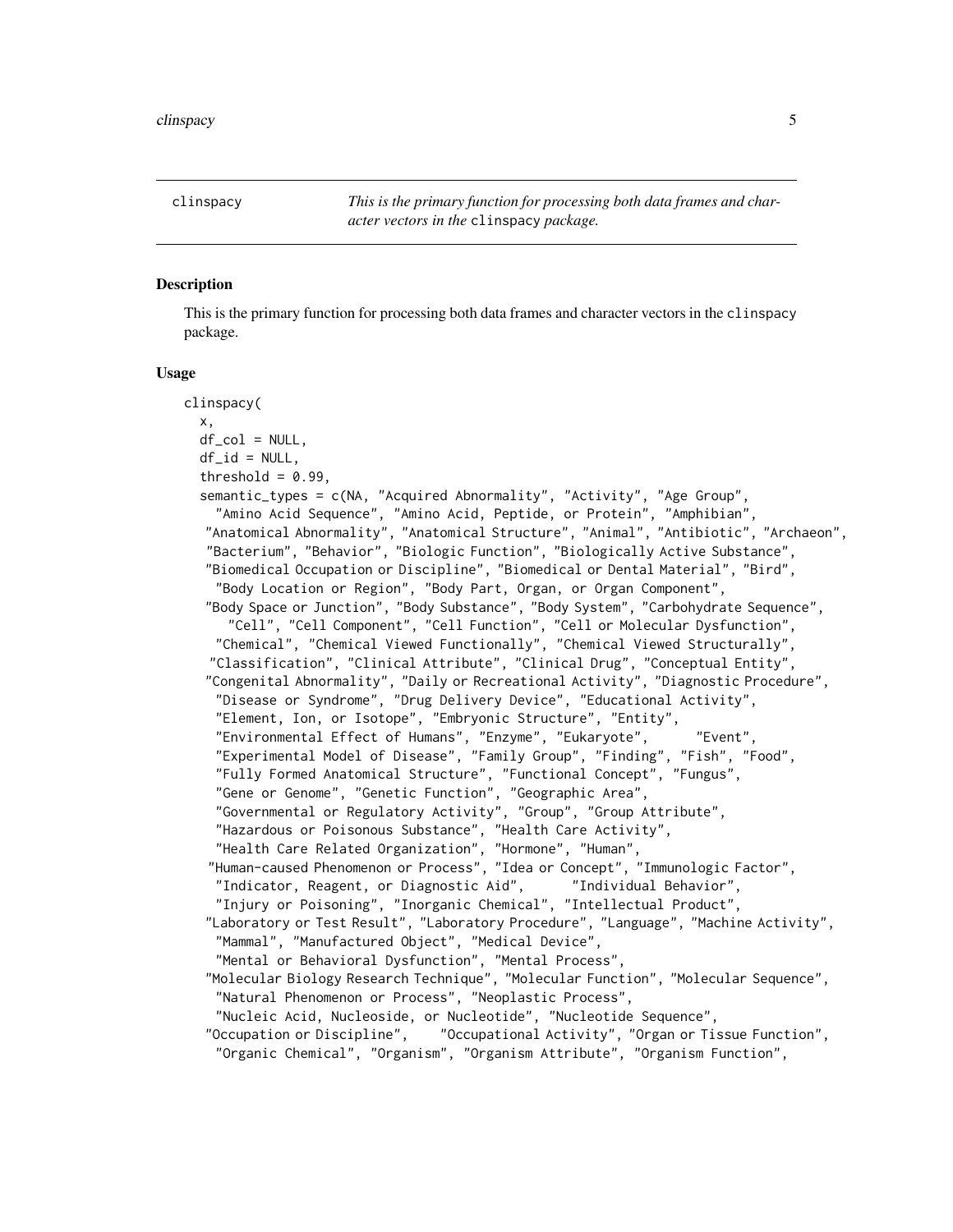<span id="page-4-1"></span><span id="page-4-0"></span>clinspacy *This is the primary function for processing both data frames and character vectors in the* clinspacy *package.*

# **Description**

This is the primary function for processing both data frames and character vectors in the clinspacy package.

#### Usage

```
clinspacy(
  x,
  df_{col} = NULL,df_id = NULL,threshold = 0.99,
  semantic_types = c(NA, "Acquired Abnormality", "Activity", "Age Group",
    "Amino Acid Sequence", "Amino Acid, Peptide, or Protein", "Amphibian",
   "Anatomical Abnormality", "Anatomical Structure", "Animal", "Antibiotic", "Archaeon",
   "Bacterium", "Behavior", "Biologic Function", "Biologically Active Substance",
  "Biomedical Occupation or Discipline", "Biomedical or Dental Material", "Bird",
    "Body Location or Region", "Body Part, Organ, or Organ Component",
   "Body Space or Junction", "Body Substance", "Body System", "Carbohydrate Sequence",
     "Cell", "Cell Component", "Cell Function", "Cell or Molecular Dysfunction",
    "Chemical", "Chemical Viewed Functionally", "Chemical Viewed Structurally",
   "Classification", "Clinical Attribute", "Clinical Drug", "Conceptual Entity",
   "Congenital Abnormality", "Daily or Recreational Activity", "Diagnostic Procedure",
    "Disease or Syndrome", "Drug Delivery Device", "Educational Activity",
    "Element, Ion, or Isotope", "Embryonic Structure", "Entity",
    "Environmental Effect of Humans", "Enzyme", "Eukaryote", "Event",
    "Experimental Model of Disease", "Family Group", "Finding", "Fish", "Food",
    "Fully Formed Anatomical Structure", "Functional Concept", "Fungus",
    "Gene or Genome", "Genetic Function", "Geographic Area",
    "Governmental or Regulatory Activity", "Group", "Group Attribute",
    "Hazardous or Poisonous Substance", "Health Care Activity",
    "Health Care Related Organization", "Hormone", "Human",
   "Human-caused Phenomenon or Process", "Idea or Concept", "Immunologic Factor",
    "Indicator, Reagent, or Diagnostic Aid", "Individual Behavior",
    "Injury or Poisoning", "Inorganic Chemical", "Intellectual Product",
   "Laboratory or Test Result", "Laboratory Procedure", "Language", "Machine Activity",
    "Mammal", "Manufactured Object", "Medical Device",
    "Mental or Behavioral Dysfunction", "Mental Process",
   "Molecular Biology Research Technique", "Molecular Function", "Molecular Sequence",
    "Natural Phenomenon or Process", "Neoplastic Process",
    "Nucleic Acid, Nucleoside, or Nucleotide", "Nucleotide Sequence",
   "Occupation or Discipline", "Occupational Activity", "Organ or Tissue Function",
    "Organic Chemical", "Organism", "Organism Attribute", "Organism Function",
```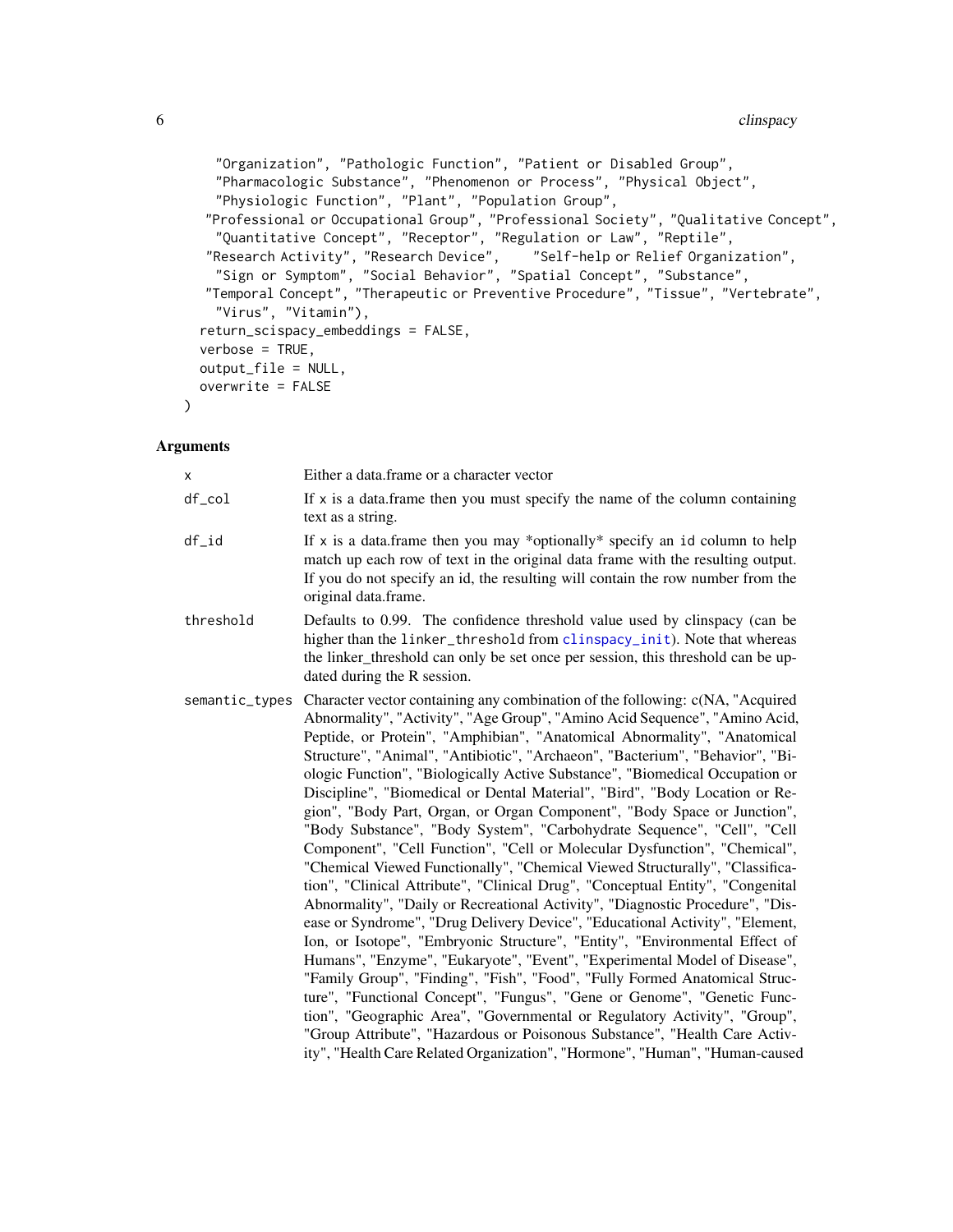```
"Organization", "Pathologic Function", "Patient or Disabled Group",
  "Pharmacologic Substance", "Phenomenon or Process", "Physical Object",
  "Physiologic Function", "Plant", "Population Group",
 "Professional or Occupational Group", "Professional Society", "Qualitative Concept",
  "Quantitative Concept", "Receptor", "Regulation or Law", "Reptile",
 "Research Activity", "Research Device", "Self-help or Relief Organization",
  "Sign or Symptom", "Social Behavior", "Spatial Concept", "Substance",
"Temporal Concept", "Therapeutic or Preventive Procedure", "Tissue", "Vertebrate",
  "Virus", "Vitamin"),
return_scispacy_embeddings = FALSE,
verbose = TRUE,
output_file = NULL,
overwrite = FALSE
```
# Arguments

)

| X              | Either a data.frame or a character vector                                                                                                                                                                                                                                                                                                                                                                                                                                                                                                                                                                                                                                                                                                                                                                                                                                                                                                                                                                                                                                                                                                                                                                                                                                                                                                                                                                                                                                                                                                                                                                                     |
|----------------|-------------------------------------------------------------------------------------------------------------------------------------------------------------------------------------------------------------------------------------------------------------------------------------------------------------------------------------------------------------------------------------------------------------------------------------------------------------------------------------------------------------------------------------------------------------------------------------------------------------------------------------------------------------------------------------------------------------------------------------------------------------------------------------------------------------------------------------------------------------------------------------------------------------------------------------------------------------------------------------------------------------------------------------------------------------------------------------------------------------------------------------------------------------------------------------------------------------------------------------------------------------------------------------------------------------------------------------------------------------------------------------------------------------------------------------------------------------------------------------------------------------------------------------------------------------------------------------------------------------------------------|
| df_col         | If $x$ is a data. frame then you must specify the name of the column containing<br>text as a string.                                                                                                                                                                                                                                                                                                                                                                                                                                                                                                                                                                                                                                                                                                                                                                                                                                                                                                                                                                                                                                                                                                                                                                                                                                                                                                                                                                                                                                                                                                                          |
| $df_id$        | If x is a data. frame then you may *optionally* specify an id column to help<br>match up each row of text in the original data frame with the resulting output.<br>If you do not specify an id, the resulting will contain the row number from the<br>original data.frame.                                                                                                                                                                                                                                                                                                                                                                                                                                                                                                                                                                                                                                                                                                                                                                                                                                                                                                                                                                                                                                                                                                                                                                                                                                                                                                                                                    |
| threshold      | Defaults to 0.99. The confidence threshold value used by clinspacy (can be<br>higher than the linker_threshold from clinspacy_init). Note that whereas<br>the linker_threshold can only be set once per session, this threshold can be up-<br>dated during the R session.                                                                                                                                                                                                                                                                                                                                                                                                                                                                                                                                                                                                                                                                                                                                                                                                                                                                                                                                                                                                                                                                                                                                                                                                                                                                                                                                                     |
| semantic_types | Character vector containing any combination of the following: c(NA, "Acquired<br>Abnormality", "Activity", "Age Group", "Amino Acid Sequence", "Amino Acid,<br>Peptide, or Protein", "Amphibian", "Anatomical Abnormality", "Anatomical<br>Structure", "Animal", "Antibiotic", "Archaeon", "Bacterium", "Behavior", "Bi-<br>ologic Function", "Biologically Active Substance", "Biomedical Occupation or<br>Discipline", "Biomedical or Dental Material", "Bird", "Body Location or Re-<br>gion", "Body Part, Organ, or Organ Component", "Body Space or Junction",<br>"Body Substance", "Body System", "Carbohydrate Sequence", "Cell", "Cell<br>Component", "Cell Function", "Cell or Molecular Dysfunction", "Chemical",<br>"Chemical Viewed Functionally", "Chemical Viewed Structurally", "Classifica-<br>tion", "Clinical Attribute", "Clinical Drug", "Conceptual Entity", "Congenital<br>Abnormality", "Daily or Recreational Activity", "Diagnostic Procedure", "Dis-<br>ease or Syndrome", "Drug Delivery Device", "Educational Activity", "Element,<br>Ion, or Isotope", "Embryonic Structure", "Entity", "Environmental Effect of<br>Humans", "Enzyme", "Eukaryote", "Event", "Experimental Model of Disease",<br>"Family Group", "Finding", "Fish", "Food", "Fully Formed Anatomical Struc-<br>ture", "Functional Concept", "Fungus", "Gene or Genome", "Genetic Func-<br>tion", "Geographic Area", "Governmental or Regulatory Activity", "Group",<br>"Group Attribute", "Hazardous or Poisonous Substance", "Health Care Activ-<br>ity", "Health Care Related Organization", "Hormone", "Human", "Human-caused |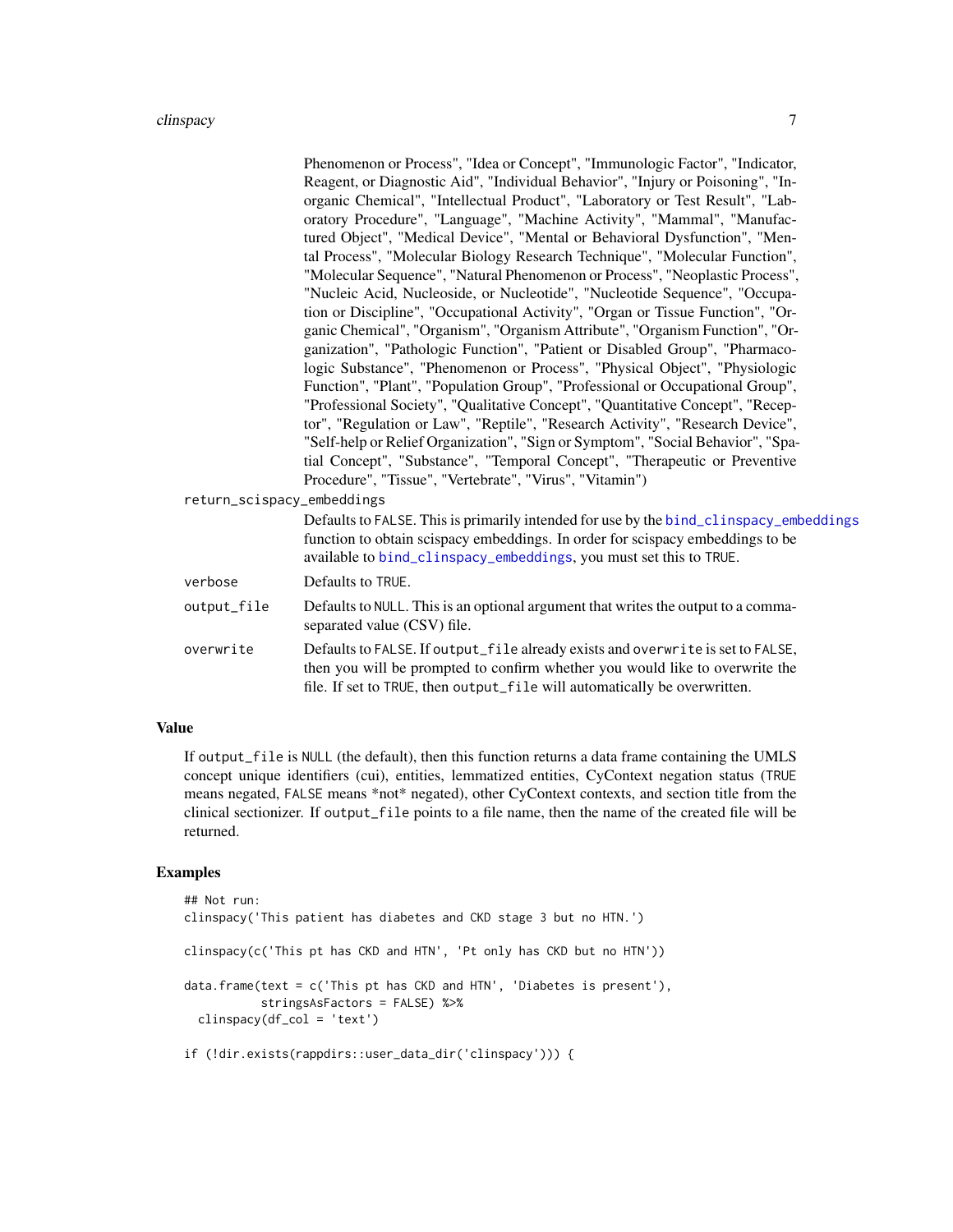#### <span id="page-6-0"></span>clinspacy 7

|                            | Phenomenon or Process", "Idea or Concept", "Immunologic Factor", "Indicator,<br>Reagent, or Diagnostic Aid", "Individual Behavior", "Injury or Poisoning", "In-                                                                                |
|----------------------------|------------------------------------------------------------------------------------------------------------------------------------------------------------------------------------------------------------------------------------------------|
|                            | organic Chemical", "Intellectual Product", "Laboratory or Test Result", "Lab-<br>oratory Procedure", "Language", "Machine Activity", "Mammal", "Manufac-<br>tured Object", "Medical Device", "Mental or Behavioral Dysfunction", "Men-         |
|                            | tal Process", "Molecular Biology Research Technique", "Molecular Function",                                                                                                                                                                    |
|                            | "Molecular Sequence", "Natural Phenomenon or Process", "Neoplastic Process",                                                                                                                                                                   |
|                            | "Nucleic Acid, Nucleoside, or Nucleotide", "Nucleotide Sequence", "Occupa-                                                                                                                                                                     |
|                            | tion or Discipline", "Occupational Activity", "Organ or Tissue Function", "Or-                                                                                                                                                                 |
|                            | ganic Chemical", "Organism", "Organism Attribute", "Organism Function", "Or-                                                                                                                                                                   |
|                            | ganization", "Pathologic Function", "Patient or Disabled Group", "Pharmaco-                                                                                                                                                                    |
|                            | logic Substance", "Phenomenon or Process", "Physical Object", "Physiologic                                                                                                                                                                     |
|                            | Function", "Plant", "Population Group", "Professional or Occupational Group",                                                                                                                                                                  |
|                            | "Professional Society", "Qualitative Concept", "Quantitative Concept", "Recep-                                                                                                                                                                 |
|                            | tor", "Regulation or Law", "Reptile", "Research Activity", "Research Device",                                                                                                                                                                  |
|                            | "Self-help or Relief Organization", "Sign or Symptom", "Social Behavior", "Spa-                                                                                                                                                                |
|                            | tial Concept", "Substance", "Temporal Concept", "Therapeutic or Preventive                                                                                                                                                                     |
|                            | Procedure", "Tissue", "Vertebrate", "Virus", "Vitamin")                                                                                                                                                                                        |
| return_scispacy_embeddings |                                                                                                                                                                                                                                                |
|                            | Defaults to FALSE. This is primarily intended for use by the bind_clinspacy_embeddings<br>function to obtain scispacy embeddings. In order for scispacy embeddings to be<br>available to bind_clinspacy_embeddings, you must set this to TRUE. |
| verbose                    | Defaults to TRUE.                                                                                                                                                                                                                              |
| output_file                | Defaults to NULL. This is an optional argument that writes the output to a comma-<br>separated value (CSV) file.                                                                                                                               |
| overwrite                  | Defaults to FALSE. If output_file already exists and overwrite is set to FALSE,<br>then you will be prompted to confirm whether you would like to overwrite the                                                                                |

# Value

If output\_file is NULL (the default), then this function returns a data frame containing the UMLS concept unique identifiers (cui), entities, lemmatized entities, CyContext negation status (TRUE means negated, FALSE means \*not\* negated), other CyContext contexts, and section title from the clinical sectionizer. If output\_file points to a file name, then the name of the created file will be returned.

file. If set to TRUE, then output\_file will automatically be overwritten.

# Examples

```
## Not run:
clinspacy('This patient has diabetes and CKD stage 3 but no HTN.')
clinspacy(c('This pt has CKD and HTN', 'Pt only has CKD but no HTN'))
data.frame(text = c('This pt has CKD and HTN', 'Diabetes is present'),
          stringsAsFactors = FALSE) %>%
 clinspacy(df_col = 'text')
if (!dir.exists(rappdirs::user_data_dir('clinspacy'))) {
```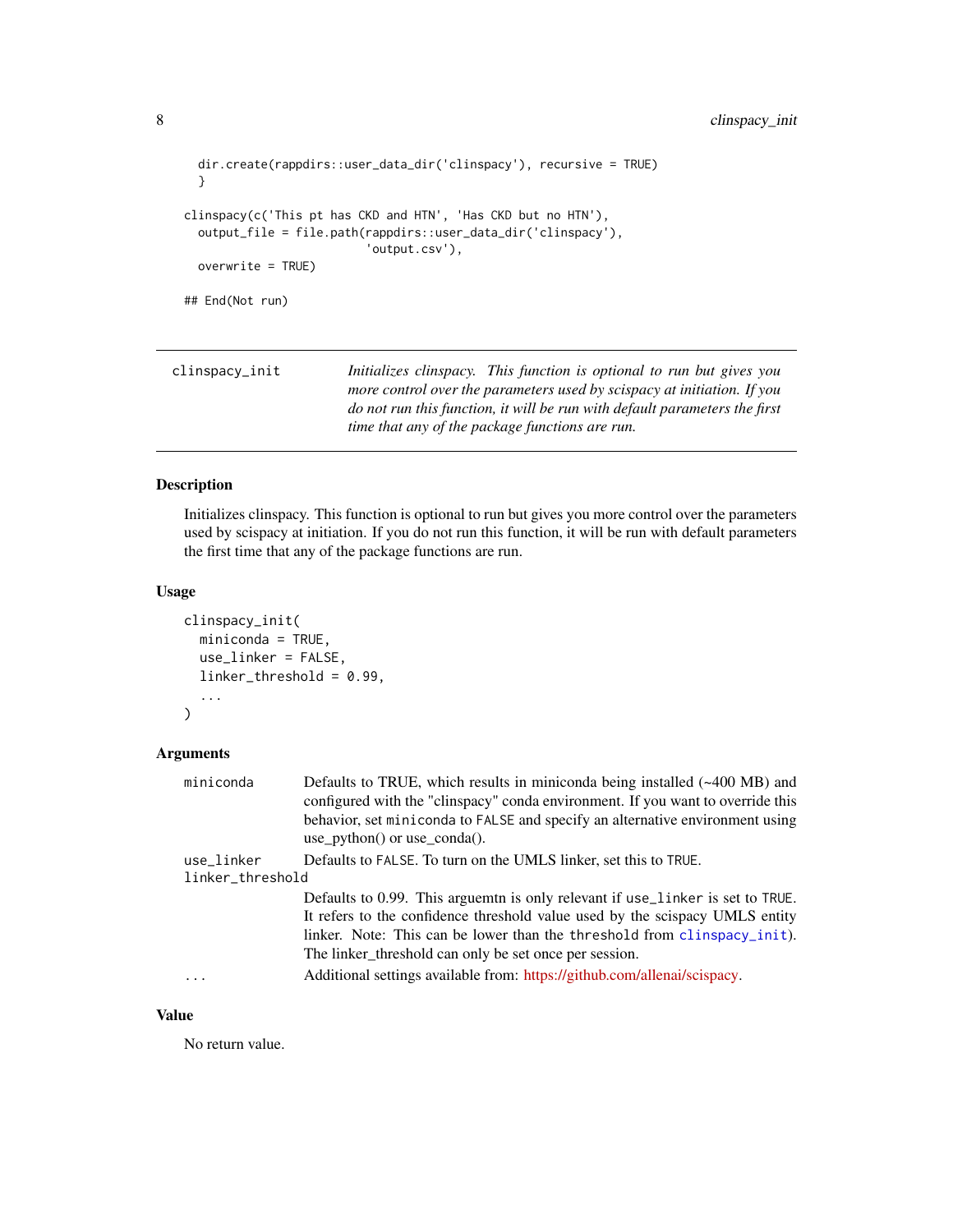```
dir.create(rappdirs::user_data_dir('clinspacy'), recursive = TRUE)
 }
clinspacy(c('This pt has CKD and HTN', 'Has CKD but no HTN'),
 output_file = file.path(rappdirs::user_data_dir('clinspacy'),
                          'output.csv'),
 overwrite = TRUE)
## End(Not run)
```
<span id="page-7-1"></span>

| clinspacy_init | Initializes clinspacy. This function is optional to run but gives you      |
|----------------|----------------------------------------------------------------------------|
|                | more control over the parameters used by scispacy at initiation. If you    |
|                | do not run this function, it will be run with default parameters the first |
|                | time that any of the package functions are run.                            |

# Description

Initializes clinspacy. This function is optional to run but gives you more control over the parameters used by scispacy at initiation. If you do not run this function, it will be run with default parameters the first time that any of the package functions are run.

# Usage

```
clinspacy_init(
  miniconda = TRUE,
  use_linker = FALSE,
  linker_threshold = 0.99,
  ...
\mathcal{L}
```
# Arguments

| miniconda        | Defaults to TRUE, which results in miniconda being installed (~400 MB) and<br>configured with the "clinspacy" conda environment. If you want to override this |
|------------------|---------------------------------------------------------------------------------------------------------------------------------------------------------------|
|                  | behavior, set miniconda to FALSE and specify an alternative environment using<br>use $python()$ or use $conda()$ .                                            |
| use_linker       | Defaults to FALSE. To turn on the UMLS linker, set this to TRUE.                                                                                              |
| linker_threshold |                                                                                                                                                               |
|                  | Defaults to 0.99. This arguemt is only relevant if use_linker is set to TRUE.                                                                                 |
|                  | It refers to the confidence threshold value used by the scispacy UMLS entity                                                                                  |
|                  | linker. Note: This can be lower than the threshold from clinspacy_init).                                                                                      |
|                  | The linker threshold can only be set once per session.                                                                                                        |
| $\cdots$         | Additional settings available from: https://github.com/allenai/scispacy.                                                                                      |

# Value

No return value.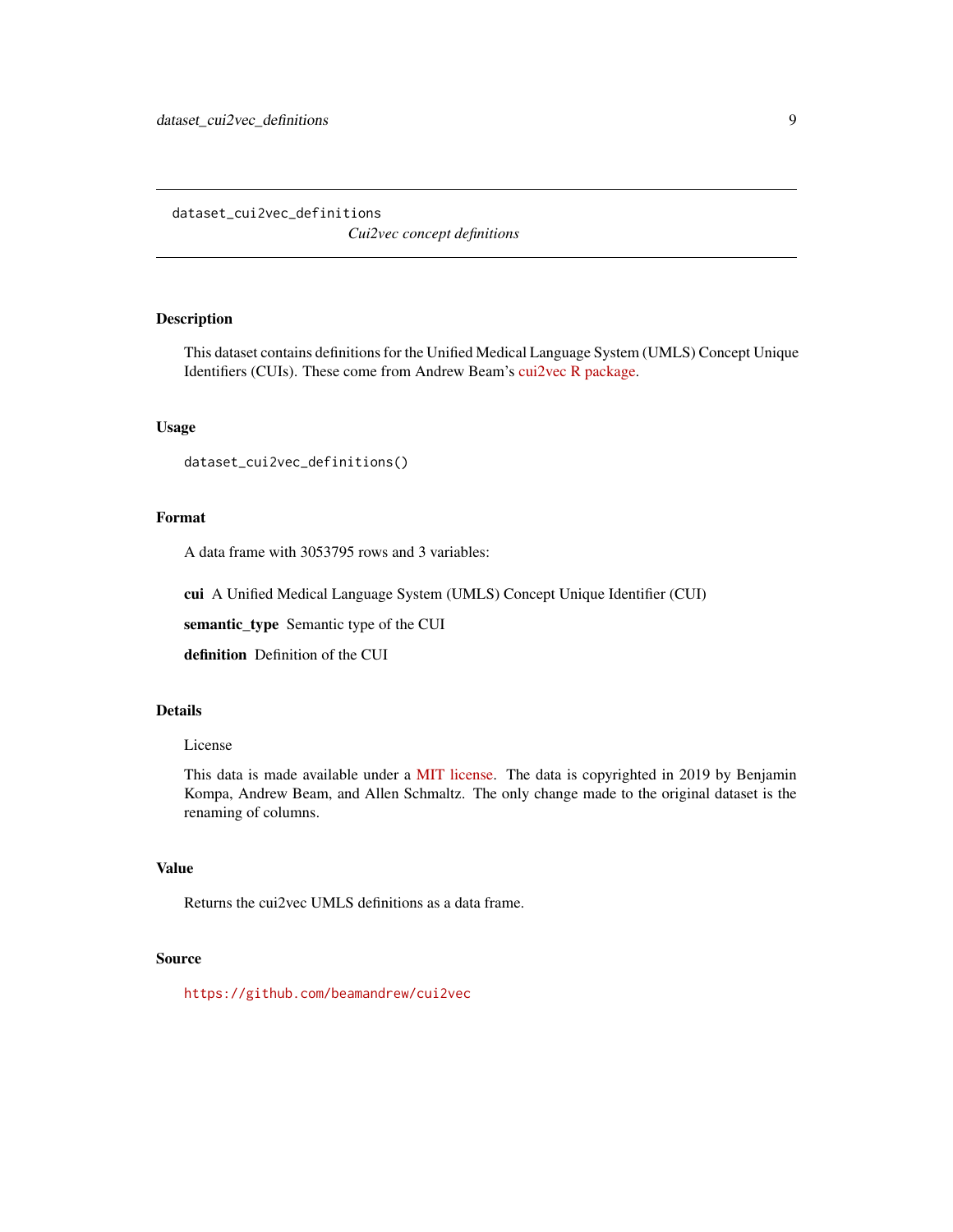<span id="page-8-0"></span>dataset\_cui2vec\_definitions *Cui2vec concept definitions*

# Description

This dataset contains definitions for the Unified Medical Language System (UMLS) Concept Unique Identifiers (CUIs). These come from Andrew Beam's [cui2vec R package.](https://github.com/beamandrew/cui2vec)

# Usage

```
dataset_cui2vec_definitions()
```
#### Format

A data frame with 3053795 rows and 3 variables:

cui A Unified Medical Language System (UMLS) Concept Unique Identifier (CUI)

semantic\_type Semantic type of the CUI

definition Definition of the CUI

# Details

# License

This data is made available under a [MIT license.](https://github.com/beamandrew/cui2vec/blob/master/LICENSE.md) The data is copyrighted in 2019 by Benjamin Kompa, Andrew Beam, and Allen Schmaltz. The only change made to the original dataset is the renaming of columns.

# Value

Returns the cui2vec UMLS definitions as a data frame.

# Source

<https://github.com/beamandrew/cui2vec>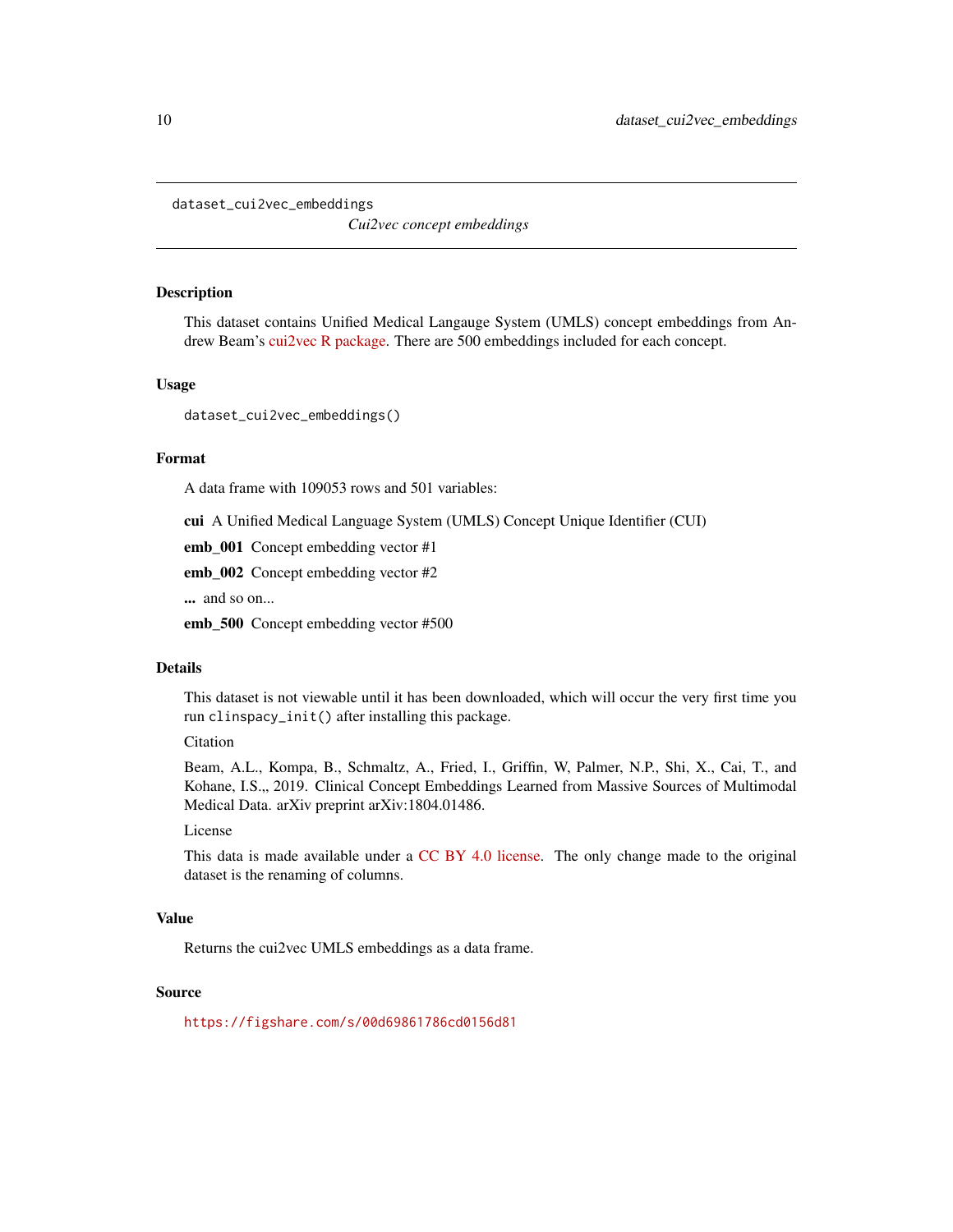<span id="page-9-1"></span><span id="page-9-0"></span>dataset\_cui2vec\_embeddings

*Cui2vec concept embeddings*

#### Description

This dataset contains Unified Medical Langauge System (UMLS) concept embeddings from Andrew Beam's [cui2vec R package.](https://github.com/beamandrew/cui2vec) There are 500 embeddings included for each concept.

# Usage

dataset\_cui2vec\_embeddings()

#### Format

A data frame with 109053 rows and 501 variables:

cui A Unified Medical Language System (UMLS) Concept Unique Identifier (CUI)

emb\_001 Concept embedding vector #1

emb\_002 Concept embedding vector #2

... and so on...

emb\_500 Concept embedding vector #500

# Details

This dataset is not viewable until it has been downloaded, which will occur the very first time you run clinspacy\_init() after installing this package.

#### Citation

Beam, A.L., Kompa, B., Schmaltz, A., Fried, I., Griffin, W, Palmer, N.P., Shi, X., Cai, T., and Kohane, I.S.,, 2019. Clinical Concept Embeddings Learned from Massive Sources of Multimodal Medical Data. arXiv preprint arXiv:1804.01486.

# License

This data is made available under a [CC BY 4.0 license.](https://creativecommons.org/licenses/by/4.0/) The only change made to the original dataset is the renaming of columns.

# Value

Returns the cui2vec UMLS embeddings as a data frame.

#### Source

<https://figshare.com/s/00d69861786cd0156d81>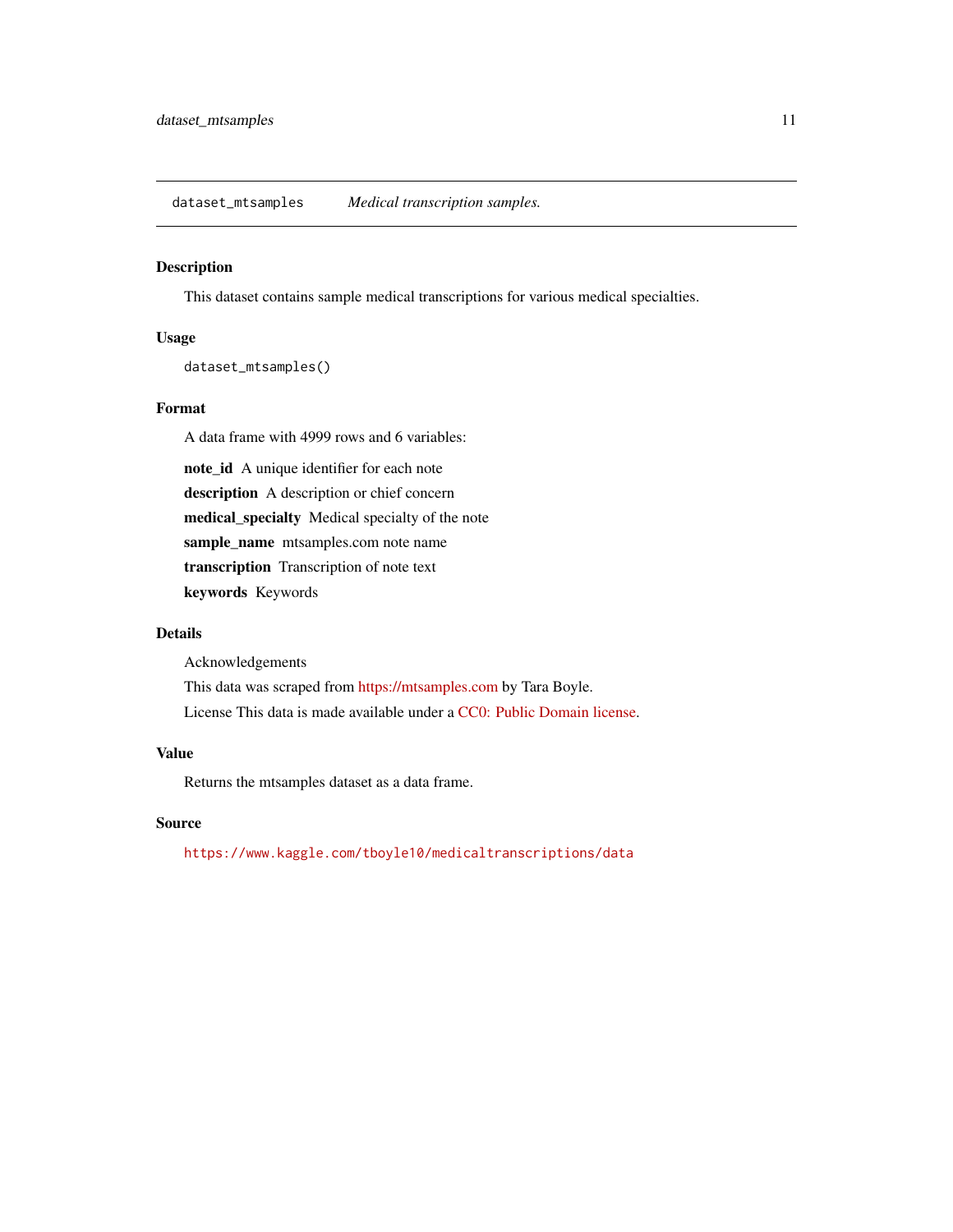<span id="page-10-0"></span>dataset\_mtsamples *Medical transcription samples.*

# Description

This dataset contains sample medical transcriptions for various medical specialties.

# Usage

dataset\_mtsamples()

# Format

A data frame with 4999 rows and 6 variables:

note\_id A unique identifier for each note description A description or chief concern medical\_specialty Medical specialty of the note sample\_name mtsamples.com note name transcription Transcription of note text keywords Keywords

# Details

Acknowledgements

This data was scraped from <https://mtsamples.com> by Tara Boyle. License This data is made available under a [CC0: Public Domain license.](https://creativecommons.org/share-your-work/public-domain/cc0/)

# Value

Returns the mtsamples dataset as a data frame.

# Source

<https://www.kaggle.com/tboyle10/medicaltranscriptions/data>